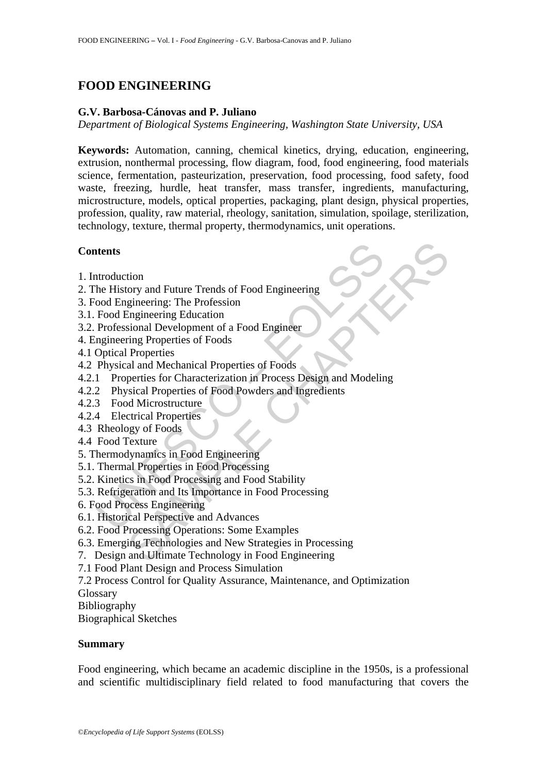# **FOOD ENGINEERING**

### **G.V. Barbosa-Cánovas and P. Juliano**

*Department of Biological Systems Engineering, Washington State University, USA* 

**Keywords:** Automation, canning, chemical kinetics, drying, education, engineering, extrusion, nonthermal processing, flow diagram, food, food engineering, food materials science, fermentation, pasteurization, preservation, food processing, food safety, food waste, freezing, hurdle, heat transfer, mass transfer, ingredients, manufacturing, microstructure, models, optical properties, packaging, plant design, physical properties, profession, quality, raw material, rheology, sanitation, simulation, spoilage, sterilization, technology, texture, thermal property, thermodynamics, unit operations.

# **Contents**

- 1. Introduction
- 2. The History and Future Trends of Food Engineering
- 3. Food Engineering: The Profession
- 3.1. Food Engineering Education
- 3.2. Professional Development of a Food Engineer
- 4. Engineering Properties of Foods
- 4.1 Optical Properties
- 4.2 Physical and Mechanical Properties of Foods
- **thents**<br>
the History and Future Trends of Food Engineering<br>
cood Engineering: The Profession<br>
Frod Engineering Education<br>
Professional Development of a Food Engineer<br>
ngineering Properties of Foods<br>
Optical Properties<br>
Ph tion<br>
ory and Future Trends of Food Engineering<br>
gineering: The Profession<br>
Engineering: The Profession<br>
Engineering Education<br>
Froperties of Foods<br>
Properties<br>
and Mechanical Properties of Foods<br>
perties for Characterizat 4.2.1 Properties for Characterization in Process Design and Modeling
- 4.2.2 Physical Properties of Food Powders and Ingredients
- 4.2.3 Food Microstructure
- 4.2.4 Electrical Properties
- 4.3 Rheology of Foods
- 4.4 Food Texture
- 5. Thermodynamics in Food Engineering
- 5.1. Thermal Properties in Food Processing
- 5.2. Kinetics in Food Processing and Food Stability
- 5.3. Refrigeration and Its Importance in Food Processing
- 6. Food Process Engineering
- 6.1. Historical Perspective and Advances
- 6.2. Food Processing Operations: Some Examples
- 6.3. Emerging Technologies and New Strategies in Processing
- 7. Design and Ultimate Technology in Food Engineering
- 7.1 Food Plant Design and Process Simulation

7.2 Process Control for Quality Assurance, Maintenance, and Optimization

Glossary

Bibliography

Biographical Sketches

### **Summary**

Food engineering, which became an academic discipline in the 1950s, is a professional and scientific multidisciplinary field related to food manufacturing that covers the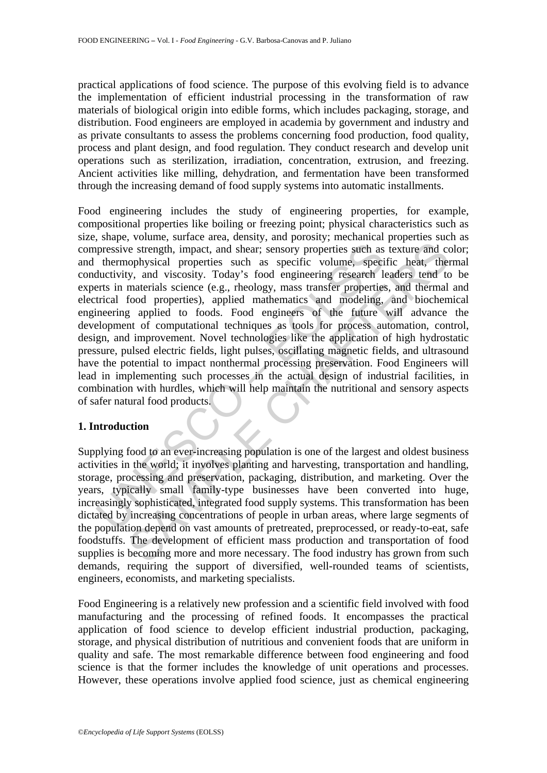practical applications of food science. The purpose of this evolving field is to advance the implementation of efficient industrial processing in the transformation of raw materials of biological origin into edible forms, which includes packaging, storage, and distribution. Food engineers are employed in academia by government and industry and as private consultants to assess the problems concerning food production, food quality, process and plant design, and food regulation. They conduct research and develop unit operations such as sterilization, irradiation, concentration, extrusion, and freezing. Ancient activities like milling, dehydration, and fermentation have been transformed through the increasing demand of food supply systems into automatic installments.

pressive strength, impact, and shear; sensory properties such as thermophysical properties such as specific volume, specific uniters in materials science (e.g., rhoology, mass transfer properties tracht and importional foo For external inpact, and shear; sensory properties such as texture and coophysical properties such as specific volume, specific heat, they, and viscosity. Today's food engineering research leaders tend to my, materials sci Food engineering includes the study of engineering properties, for example, compositional properties like boiling or freezing point; physical characteristics such as size, shape, volume, surface area, density, and porosity; mechanical properties such as compressive strength, impact, and shear; sensory properties such as texture and color; and thermophysical properties such as specific volume, specific heat, thermal conductivity, and viscosity. Today's food engineering research leaders tend to be experts in materials science (e.g., rheology, mass transfer properties, and thermal and electrical food properties), applied mathematics and modeling, and biochemical engineering applied to foods. Food engineers of the future will advance the development of computational techniques as tools for process automation, control, design, and improvement. Novel technologies like the application of high hydrostatic pressure, pulsed electric fields, light pulses, oscillating magnetic fields, and ultrasound have the potential to impact nonthermal processing preservation. Food Engineers will lead in implementing such processes in the actual design of industrial facilities, in combination with hurdles, which will help maintain the nutritional and sensory aspects of safer natural food products.

# **1. Introduction**

Supplying food to an ever-increasing population is one of the largest and oldest business activities in the world; it involves planting and harvesting, transportation and handling, storage, processing and preservation, packaging, distribution, and marketing. Over the years, typically small family-type businesses have been converted into huge, increasingly sophisticated, integrated food supply systems. This transformation has been dictated by increasing concentrations of people in urban areas, where large segments of the population depend on vast amounts of pretreated, preprocessed, or ready-to-eat, safe foodstuffs. The development of efficient mass production and transportation of food supplies is becoming more and more necessary. The food industry has grown from such demands, requiring the support of diversified, well-rounded teams of scientists, engineers, economists, and marketing specialists.

Food Engineering is a relatively new profession and a scientific field involved with food manufacturing and the processing of refined foods. It encompasses the practical application of food science to develop efficient industrial production, packaging, storage, and physical distribution of nutritious and convenient foods that are uniform in quality and safe. The most remarkable difference between food engineering and food science is that the former includes the knowledge of unit operations and processes. However, these operations involve applied food science, just as chemical engineering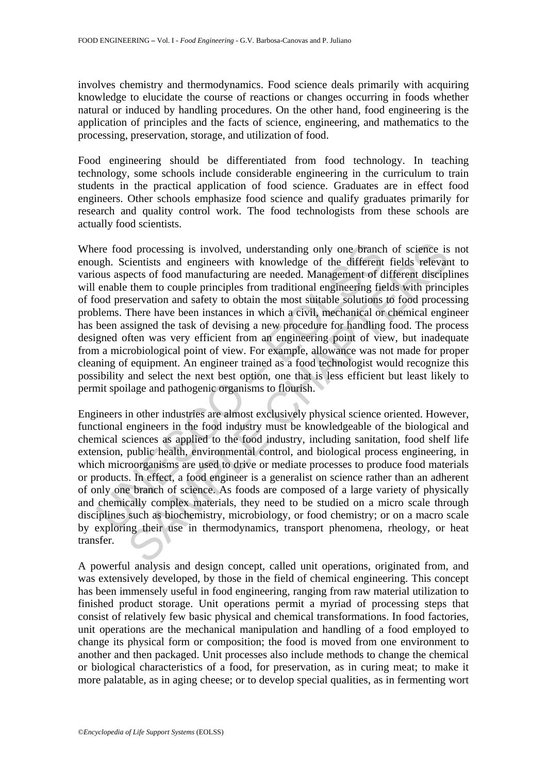involves chemistry and thermodynamics. Food science deals primarily with acquiring knowledge to elucidate the course of reactions or changes occurring in foods whether natural or induced by handling procedures. On the other hand, food engineering is the application of principles and the facts of science, engineering, and mathematics to the processing, preservation, storage, and utilization of food.

Food engineering should be differentiated from food technology. In teaching technology, some schools include considerable engineering in the curriculum to train students in the practical application of food science. Graduates are in effect food engineers. Other schools emphasize food science and qualify graduates primarily for research and quality control work. The food technologists from these schools are actually food scientists.

ere food processing is involved, understanding only one branch<br>ugh. Scientists and engineers with knowledge of the different<br>ous aspects of food manufacturing are needed. Management of d<br>enable them to couple principles fr d processing is involved, understanding only one branch of science is<br>cientists and engineers with knowledge of the different fields relevant<br>exects of food manufacturing are needed. Management of different disciple<br>them t Where food processing is involved, understanding only one branch of science is not enough. Scientists and engineers with knowledge of the different fields relevant to various aspects of food manufacturing are needed. Management of different disciplines will enable them to couple principles from traditional engineering fields with principles of food preservation and safety to obtain the most suitable solutions to food processing problems. There have been instances in which a civil, mechanical or chemical engineer has been assigned the task of devising a new procedure for handling food. The process designed often was very efficient from an engineering point of view, but inadequate from a microbiological point of view. For example, allowance was not made for proper cleaning of equipment. An engineer trained as a food technologist would recognize this possibility and select the next best option, one that is less efficient but least likely to permit spoilage and pathogenic organisms to flourish.

Engineers in other industries are almost exclusively physical science oriented. However, functional engineers in the food industry must be knowledgeable of the biological and chemical sciences as applied to the food industry, including sanitation, food shelf life extension, public health, environmental control, and biological process engineering, in which microorganisms are used to drive or mediate processes to produce food materials or products. In effect, a food engineer is a generalist on science rather than an adherent of only one branch of science. As foods are composed of a large variety of physically and chemically complex materials, they need to be studied on a micro scale through disciplines such as biochemistry, microbiology, or food chemistry; or on a macro scale by exploring their use in thermodynamics, transport phenomena, rheology, or heat transfer.

A powerful analysis and design concept, called unit operations, originated from, and was extensively developed, by those in the field of chemical engineering. This concept has been immensely useful in food engineering, ranging from raw material utilization to finished product storage. Unit operations permit a myriad of processing steps that consist of relatively few basic physical and chemical transformations. In food factories, unit operations are the mechanical manipulation and handling of a food employed to change its physical form or composition; the food is moved from one environment to another and then packaged. Unit processes also include methods to change the chemical or biological characteristics of a food, for preservation, as in curing meat; to make it more palatable, as in aging cheese; or to develop special qualities, as in fermenting wort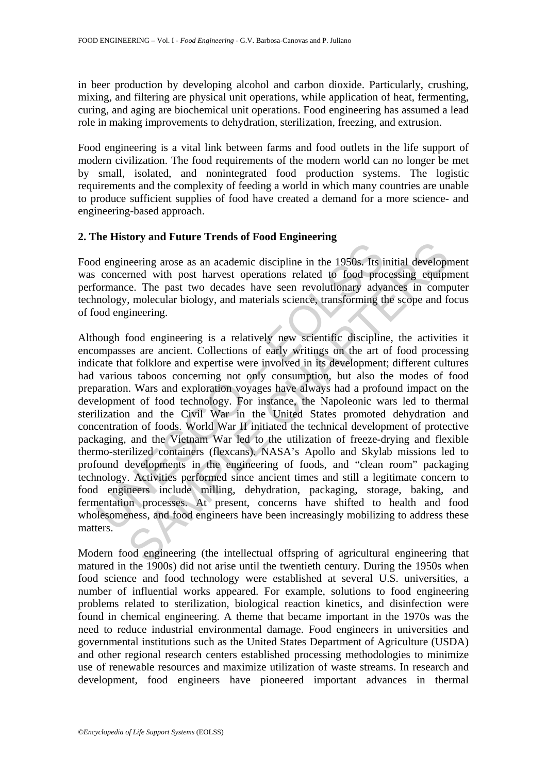in beer production by developing alcohol and carbon dioxide. Particularly, crushing, mixing, and filtering are physical unit operations, while application of heat, fermenting, curing, and aging are biochemical unit operations. Food engineering has assumed a lead role in making improvements to dehydration, sterilization, freezing, and extrusion.

Food engineering is a vital link between farms and food outlets in the life support of modern civilization. The food requirements of the modern world can no longer be met by small, isolated, and nonintegrated food production systems. The logistic requirements and the complexity of feeding a world in which many countries are unable to produce sufficient supplies of food have created a demand for a more science- and engineering-based approach.

# **2. The History and Future Trends of Food Engineering**

Food engineering arose as an academic discipline in the 1950s. Its initial development was concerned with post harvest operations related to food processing equipment performance. The past two decades have seen revolutionary advances in computer technology, molecular biology, and materials science, transforming the scope and focus of food engineering.

d engineering arose as an academic discipline in the 1950s. Its is concerned with post harvest operations related to food protomance. The past two decades have seen revolutionary advanology, molecular biology, and material The particular actual disculption in the 1950s. Its initial development with post harvest operations related to food processing equipment with post have decades have seen revolutionary advances in comp, molecular biology, Although food engineering is a relatively new scientific discipline, the activities it encompasses are ancient. Collections of early writings on the art of food processing indicate that folklore and expertise were involved in its development; different cultures had various taboos concerning not only consumption, but also the modes of food preparation. Wars and exploration voyages have always had a profound impact on the development of food technology. For instance, the Napoleonic wars led to thermal sterilization and the Civil War in the United States promoted dehydration and concentration of foods. World War II initiated the technical development of protective packaging, and the Vietnam War led to the utilization of freeze-drying and flexible thermo-sterilized containers (flexcans). NASA's Apollo and Skylab missions led to profound developments in the engineering of foods, and "clean room" packaging technology. Activities performed since ancient times and still a legitimate concern to food engineers include milling, dehydration, packaging, storage, baking, and fermentation processes. At present, concerns have shifted to health and food wholesomeness, and food engineers have been increasingly mobilizing to address these matters.

Modern food engineering (the intellectual offspring of agricultural engineering that matured in the 1900s) did not arise until the twentieth century. During the 1950s when food science and food technology were established at several U.S. universities, a number of influential works appeared. For example, solutions to food engineering problems related to sterilization, biological reaction kinetics, and disinfection were found in chemical engineering. A theme that became important in the 1970s was the need to reduce industrial environmental damage. Food engineers in universities and governmental institutions such as the United States Department of Agriculture (USDA) and other regional research centers established processing methodologies to minimize use of renewable resources and maximize utilization of waste streams. In research and development, food engineers have pioneered important advances in thermal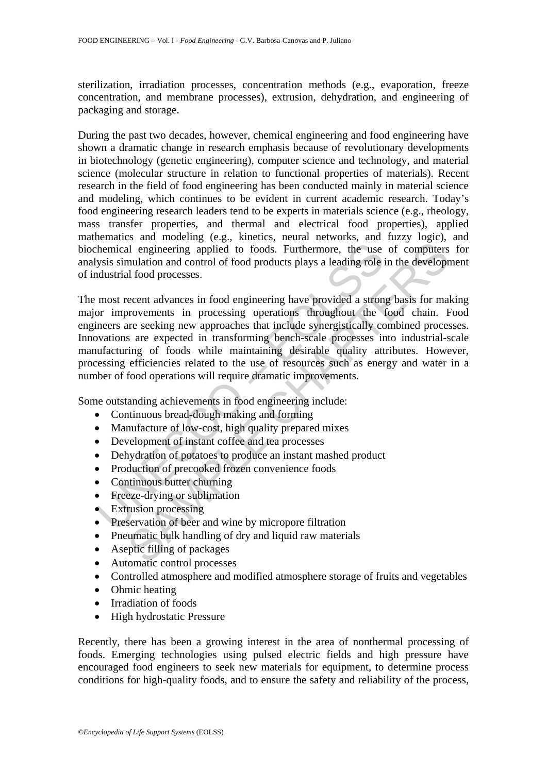sterilization, irradiation processes, concentration methods (e.g., evaporation, freeze concentration, and membrane processes), extrusion, dehydration, and engineering of packaging and storage.

During the past two decades, however, chemical engineering and food engineering have shown a dramatic change in research emphasis because of revolutionary developments in biotechnology (genetic engineering), computer science and technology, and material science (molecular structure in relation to functional properties of materials). Recent research in the field of food engineering has been conducted mainly in material science and modeling, which continues to be evident in current academic research. Today's food engineering research leaders tend to be experts in materials science (e.g., rheology, mass transfer properties, and thermal and electrical food properties), applied mathematics and modeling (e.g., kinetics, neural networks, and fuzzy logic), and biochemical engineering applied to foods. Furthermore, the use of computers for analysis simulation and control of food products plays a leading role in the development of industrial food processes.

Thermical engineering applied to foods. Furthermore, the use<br>ysis simulation and control of food products plays a leading role<br>idustrial food processes.<br>most recent advances in food engineering have provided a stron<br>or imp and engineering applied to foods. Furthermore, the use of computers<br>and engineering applied to foods. Furthermore, the use of computers<br>mulation and control of food products plays a leading role in the develop<br>and food pro The most recent advances in food engineering have provided a strong basis for making major improvements in processing operations throughout the food chain. Food engineers are seeking new approaches that include synergistically combined processes. Innovations are expected in transforming bench-scale processes into industrial-scale manufacturing of foods while maintaining desirable quality attributes. However, processing efficiencies related to the use of resources such as energy and water in a number of food operations will require dramatic improvements.

Some outstanding achievements in food engineering include:

- Continuous bread-dough making and forming
- Manufacture of low-cost, high quality prepared mixes
- Development of instant coffee and tea processes
- Dehydration of potatoes to produce an instant mashed product
- Production of precooked frozen convenience foods
- Continuous butter churning
- Freeze-drying or sublimation
- Extrusion processing
- Preservation of beer and wine by micropore filtration
- Pneumatic bulk handling of dry and liquid raw materials
- Aseptic filling of packages
- Automatic control processes
- Controlled atmosphere and modified atmosphere storage of fruits and vegetables
- Ohmic heating
- Irradiation of foods
- High hydrostatic Pressure

Recently, there has been a growing interest in the area of nonthermal processing of foods. Emerging technologies using pulsed electric fields and high pressure have encouraged food engineers to seek new materials for equipment, to determine process conditions for high-quality foods, and to ensure the safety and reliability of the process,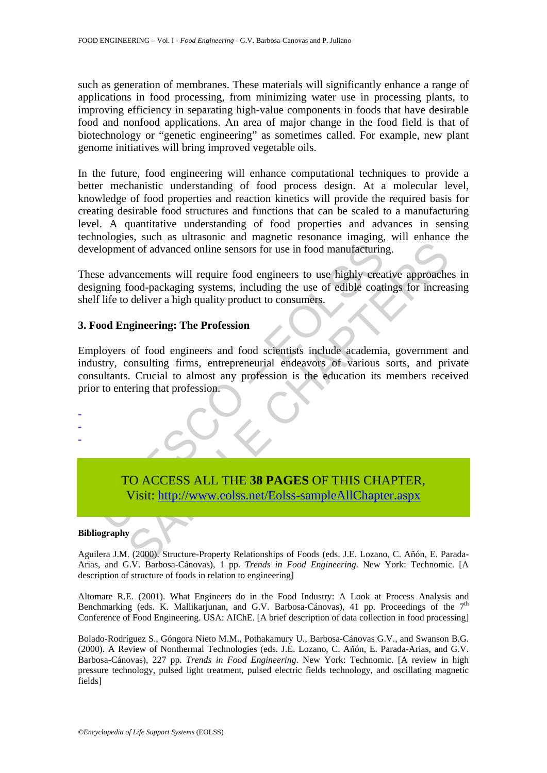such as generation of membranes. These materials will significantly enhance a range of applications in food processing, from minimizing water use in processing plants, to improving efficiency in separating high-value components in foods that have desirable food and nonfood applications. An area of major change in the food field is that of biotechnology or "genetic engineering" as sometimes called. For example, new plant genome initiatives will bring improved vegetable oils.

In the future, food engineering will enhance computational techniques to provide a better mechanistic understanding of food process design. At a molecular level, knowledge of food properties and reaction kinetics will provide the required basis for creating desirable food structures and functions that can be scaled to a manufacturing level. A quantitative understanding of food properties and advances in sensing technologies, such as ultrasonic and magnetic resonance imaging, will enhance the development of advanced online sensors for use in food manufacturing.

These advancements will require food engineers to use highly creative approaches in designing food-packaging systems, including the use of edible coatings for increasing shelf life to deliver a high quality product to consumers.

# **3. Food Engineering: The Profession**

Example 10 and the United States of the Visit: http://www.eolss.net/Eolss-sample AllChapter (States of this the United States of the Captus of the to deliver a high quality product to consumers.<br>
Coordinate to deliver a hi In Columbus Characteria, and the state of the state of the state of the state of the state of the state of the state of diluction of odd pair and food-packaging systems, including the use of edible coatings for increase of Employers of food engineers and food scientists include academia, government and industry, consulting firms, entrepreneurial endeavors of various sorts, and private consultants. Crucial to almost any profession is the education its members received prior to entering that profession.

TO ACCESS ALL THE **38 PAGES** OF THIS CHAPTER, Visit: http://www.eolss.net/Eolss-sampleAllChapter.aspx

#### **Bibliography**

- - -

Aguilera J.M. (2000). Structure-Property Relationships of Foods (eds. J.E. Lozano, C. Añón, E. Parada-Arias, and G.V. Barbosa-Cánovas), 1 pp. *Trends in Food Engineering*. New York: Technomic. [A description of structure of foods in relation to engineering]

Altomare R.E. (2001). What Engineers do in the Food Industry: A Look at Process Analysis and Benchmarking (eds. K. Mallikarjunan, and G.V. Barbosa-Cánovas), 41 pp. Proceedings of the  $7<sup>th</sup>$ Conference of Food Engineering. USA: AIChE. [A brief description of data collection in food processing]

Bolado-Rodríguez S., Góngora Nieto M.M., Pothakamury U., Barbosa-Cánovas G.V., and Swanson B.G. (2000). A Review of Nonthermal Technologies (eds. J.E. Lozano, C. Añón, E. Parada-Arias, and G.V. Barbosa-Cánovas), 227 pp. *Trends in Food Engineering*. New York: Technomic. [A review in high pressure technology, pulsed light treatment, pulsed electric fields technology, and oscillating magnetic fields]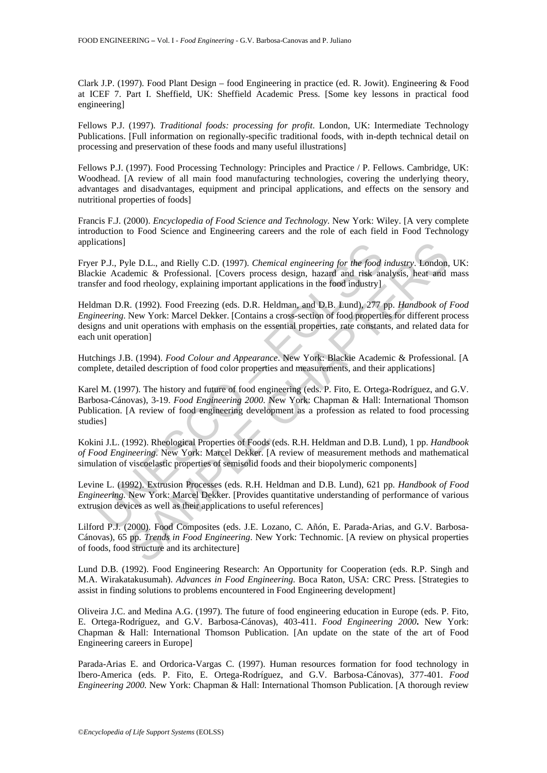Clark J.P. (1997). Food Plant Design – food Engineering in practice (ed. R. Jowit). Engineering & Food at ICEF 7. Part I. Sheffield, UK: Sheffield Academic Press. [Some key lessons in practical food engineering]

Fellows P.J. (1997). *Traditional foods: processing for profit*. London, UK: Intermediate Technology Publications. [Full information on regionally-specific traditional foods, with in-depth technical detail on processing and preservation of these foods and many useful illustrations]

Fellows P.J. (1997). Food Processing Technology: Principles and Practice / P. Fellows. Cambridge, UK: Woodhead. [A review of all main food manufacturing technologies, covering the underlying theory, advantages and disadvantages, equipment and principal applications, and effects on the sensory and nutritional properties of foods]

Francis F.J. (2000). *Encyclopedia of Food Science and Technology*. New York: Wiley. [A very complete introduction to Food Science and Engineering careers and the role of each field in Food Technology applications]

Fryer P.J., Pyle D.L., and Rielly C.D. (1997). *Chemical engineering for the food industry*. London, UK: Blackie Academic & Professional. [Covers process design, hazard and risk analysis, heat and mass transfer and food rheology, explaining important applications in the food industry]

cations]<br>
r. P.J., Pyle D.L., and Rielly C.D. (1997). *Chemical engineering for the food is*<br>
kie Academic & Professional. [Covers process design, hazard and risk an<br>
fer and food rheology, explaining important application re D.L., and Rielly C.D. (1997). *Chemical engineering for the food industry*. London,<br>detemic & Professional. [Covers process design, hazard and risk analysis, heat and<br>cood rheology, explaining important applications in Heldman D.R. (1992). Food Freezing (eds. D.R. Heldman, and D.B. Lund), 277 pp. *Handbook of Food Engineering*. New York: Marcel Dekker. [Contains a cross-section of food properties for different process designs and unit operations with emphasis on the essential properties, rate constants, and related data for each unit operation]

Hutchings J.B. (1994). *Food Colour and Appearance*. New York: Blackie Academic & Professional. [A complete, detailed description of food color properties and measurements, and their applications]

Karel M. (1997). The history and future of food engineering (eds. P. Fito, E. Ortega-Rodríguez, and G.V. Barbosa-Cánovas), 3-19. *Food Engineering 2000*. New York: Chapman & Hall: International Thomson Publication. [A review of food engineering development as a profession as related to food processing studies]

Kokini J.L. (1992). Rheological Properties of Foods (eds. R.H. Heldman and D.B. Lund), 1 pp. *Handbook of Food Engineering*. New York: Marcel Dekker. [A review of measurement methods and mathematical simulation of viscoelastic properties of semisolid foods and their biopolymeric components]

Levine L. (1992). Extrusion Processes (eds. R.H. Heldman and D.B. Lund), 621 pp. *Handbook of Food Engineering.* New York: Marcel Dekker. [Provides quantitative understanding of performance of various extrusion devices as well as their applications to useful references]

Lilford P.J. (2000). Food Composites (eds. J.E. Lozano, C. Añón, E. Parada-Arias, and G.V. Barbosa-Cánovas), 65 pp. *Trends in Food Engineering*. New York: Technomic. [A review on physical properties of foods, food structure and its architecture]

Lund D.B. (1992). Food Engineering Research: An Opportunity for Cooperation (eds. R.P. Singh and M.A. Wirakatakusumah). *Advances in Food Engineering*. Boca Raton, USA: CRC Press. [Strategies to assist in finding solutions to problems encountered in Food Engineering development]

Oliveira J.C. and Medina A.G. (1997). The future of food engineering education in Europe (eds. P. Fito, E. Ortega-Rodríguez, and G.V. Barbosa-Cánovas), 403-411. *Food Engineering 2000***.** New York: Chapman & Hall: International Thomson Publication. [An update on the state of the art of Food Engineering careers in Europe]

Parada-Arias E. and Ordorica-Vargas C. (1997). Human resources formation for food technology in Ibero-America (eds. P. Fito, E. Ortega-Rodríguez, and G.V. Barbosa-Cánovas), 377-401. *Food Engineering 2000.* New York: Chapman & Hall: International Thomson Publication. [A thorough review